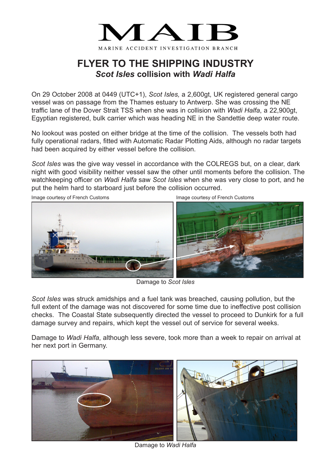

## **FLYER TO THE SHIPPING INDUSTRY** *Scot Isles* **collision with** *Wadi Halfa*

On 29 October 2008 at 0449 (UTC+1), *Scot Isles,* a 2,600gt, UK registered general cargo vessel was on passage from the Thames estuary to Antwerp. She was crossing the NE traffic lane of the Dover Strait TSS when she was in collision with *Wadi Halfa*, a 22,900gt, Egyptian registered, bulk carrier which was heading NE in the Sandettie deep water route.

No lookout was posted on either bridge at the time of the collision. The vessels both had fully operational radars, fitted with Automatic Radar Plotting Aids, although no radar targets had been acquired by either vessel before the collision.

*Scot Isles* was the give way vessel in accordance with the COLREGS but, on a clear, dark night with good visibility neither vessel saw the other until moments before the collision. The watchkeeping officer on *Wadi Halfa* saw *Scot Isles* when she was very close to port, and he put the helm hard to starboard just before the collision occurred.





Damage to *Scot Isles*

*Scot Isles* was struck amidships and a fuel tank was breached, causing pollution, but the full extent of the damage was not discovered for some time due to ineffective post collision checks. The Coastal State subsequently directed the vessel to proceed to Dunkirk for a full damage survey and repairs, which kept the vessel out of service for several weeks.

Damage to *Wadi Halfa*, although less severe, took more than a week to repair on arrival at her next port in Germany.



Damage to *Wadi Halfa*